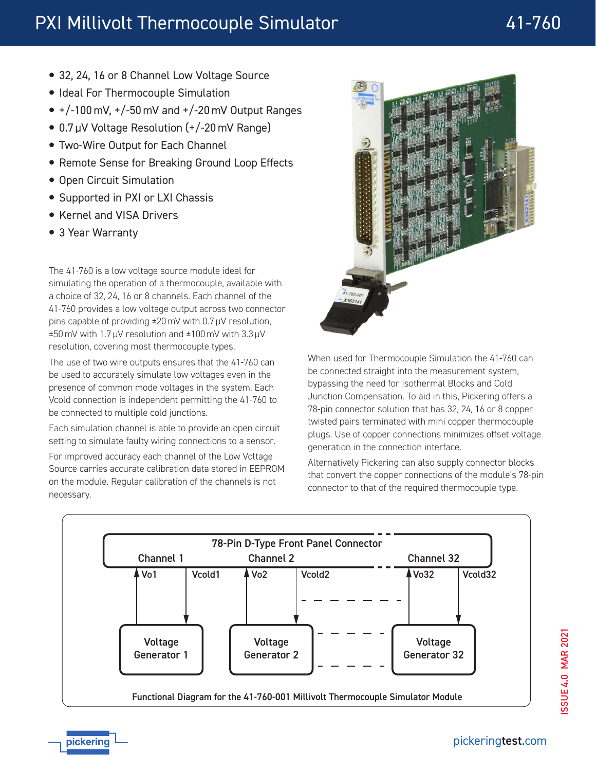# PXI Millivolt Thermocouple Simulator 41-760

- 32, 24, 16 or 8 Channel Low Voltage Source
- Ideal For Thermocouple Simulation
- $\bullet$  +/-100 mV, +/-50 mV and +/-20 mV Output Ranges
- 0.7 µV Voltage Resolution (+/-20 mV Range)
- Two-Wire Output for Each Channel
- Remote Sense for Breaking Ground Loop Effects
- Open Circuit Simulation
- Supported in PXI or LXI Chassis
- Kernel and VISA Drivers
- 3 Year Warranty

The 41-760 is a low voltage source module ideal for simulating the operation of a thermocouple, available with a choice of 32, 24, 16 or 8 channels. Each channel of the 41-760 provides a low voltage output across two connector pins capable of providing ±20 mV with 0.7 µV resolution, ±50 mV with 1.7 µV resolution and ±100 mV with 3.3 µV resolution, covering most thermocouple types.

The use of two wire outputs ensures that the 41-760 can be used to accurately simulate low voltages even in the presence of common mode voltages in the system. Each Vcold connection is independent permitting the 41-760 to be connected to multiple cold junctions.

Each simulation channel is able to provide an open circuit setting to simulate faulty wiring connections to a sensor.

For improved accuracy each channel of the Low Voltage Source carries accurate calibration data stored in EEPROM on the module. Regular calibration of the channels is not necessary.



When used for Thermocouple Simulation the 41-760 can be connected straight into the measurement system, bypassing the need for Isothermal Blocks and Cold Junction Compensation. To aid in this, Pickering offers a 78-pin connector solution that has 32, 24, 16 or 8 copper twisted pairs terminated with mini copper thermocouple plugs. Use of copper connections minimizes offset voltage generation in the connection interface.

Alternatively Pickering can also supply connector blocks that convert the copper connections of the module's 78-pin connector to that of the required thermocouple type.



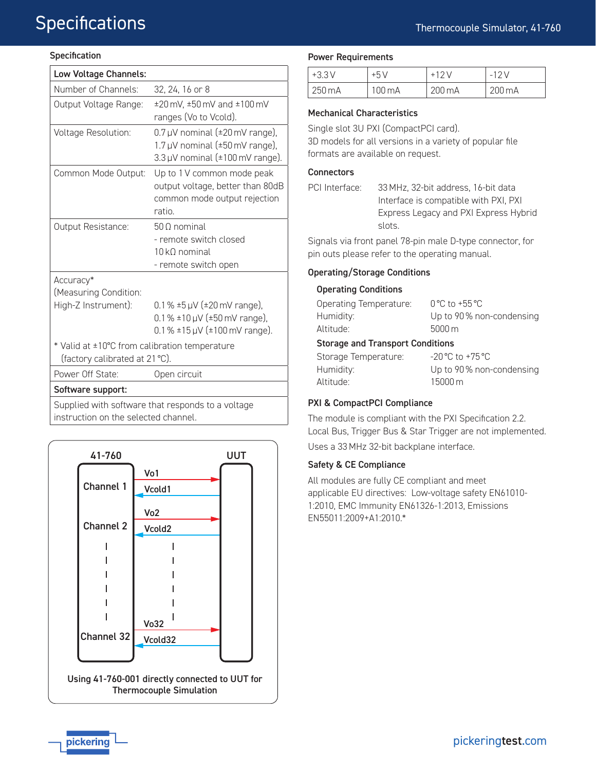# **Specifications**

#### **Specification**

| Low Voltage Channels:                             |                                                     |
|---------------------------------------------------|-----------------------------------------------------|
| Number of Channels:                               | 32, 24, 16 or 8                                     |
| Output Voltage Range:                             | ±20 mV, ±50 mV and ±100 mV                          |
|                                                   | ranges (Vo to Vcold).                               |
| Voltage Resolution:                               | 0.7 µV nominal (±20 mV range),                      |
|                                                   | 1.7 µV nominal (±50 mV range),                      |
|                                                   | 3.3 µV nominal (±100 mV range).                     |
| Common Mode Output:                               | Up to 1 V common mode peak                          |
|                                                   | output voltage, better than 80dB                    |
|                                                   | common mode output rejection                        |
|                                                   | ratio.                                              |
| Output Resistance:                                | $50 \Omega$ nominal                                 |
|                                                   | - remote switch closed                              |
|                                                   | 10 kQ nominal                                       |
|                                                   | - remote switch open                                |
| Accuracy*                                         |                                                     |
| (Measuring Condition:                             |                                                     |
| High-Z Instrument):                               | $0.1\% \pm 5 \mu V$ ( $\pm 20 \text{ mV}$ range),   |
|                                                   | $0.1\% \pm 10 \,\mu\text{V}$ (±50 mV range),        |
|                                                   | $0.1\% \pm 15 \mu V$ ( $\pm 100 \text{ mV}$ range). |
| * Valid at ±10°C from calibration temperature     |                                                     |
| (factory calibrated at 21 °C).                    |                                                     |
| Power Off State:                                  | Open circuit                                        |
| Software support:                                 |                                                     |
| Supplied with software that responds to a voltage |                                                     |

instruction on the selected channel.



#### Power Requirements

| $+3.3V$ | $+5V$            | $+12V$           | $-12V$           |
|---------|------------------|------------------|------------------|
| 250 m A | $100 \text{ mA}$ | $200 \text{ mA}$ | $200 \text{ mA}$ |

#### Mechanical Characteristics

Single slot 3U PXI (CompactPCI card). 3D models for all versions in a variety of popular file formats are available on request.

#### **Connectors**

| PCI Interface: | 33 MHz, 32-bit address, 16-bit data   |
|----------------|---------------------------------------|
|                | Interface is compatible with PXI, PXI |
|                | Express Legacy and PXI Express Hybrid |
|                | slots.                                |

Signals via front panel 78-pin male D-type connector, for pin outs please refer to the operating manual.

## Operating/Storage Conditions

#### Operating Conditions

| Operating Temperature:                  | $0^{\circ}$ C to +55 $^{\circ}$ C  |  |  |  |
|-----------------------------------------|------------------------------------|--|--|--|
| Humidity:                               | Up to 90% non-condensing           |  |  |  |
| Altitude:                               | $5000 \,\mathrm{m}$                |  |  |  |
| <b>Storage and Transport Conditions</b> |                                    |  |  |  |
| Storage Temperature:                    | $-20^{\circ}$ C to $+75^{\circ}$ C |  |  |  |
| Humidity:                               | Up to 90% non-condensing           |  |  |  |
| Altitude:                               | 15000 m                            |  |  |  |

## PXI & CompactPCI Compliance

The module is compliant with the PXI Specification 2.2. Local Bus, Trigger Bus & Star Trigger are not implemented. Uses a 33 MHz 32-bit backplane interface.

## Safety & CE Compliance

All modules are fully CE compliant and meet applicable EU directives: Low-voltage safety EN61010- 1:2010, EMC Immunity EN61326-1:2013, Emissions EN55011:2009+A1:2010.\*

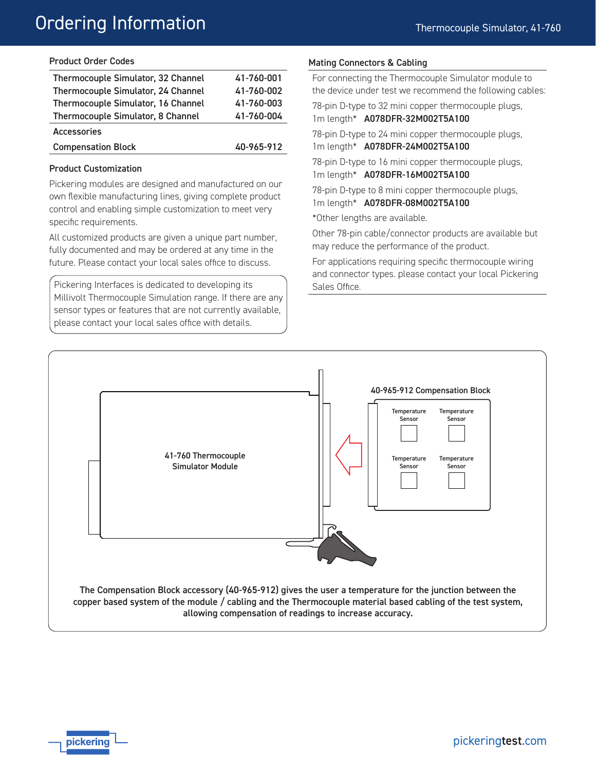# Ordering Information

| Thermocouple Simulator, 32 Channel | 41-760-001 |
|------------------------------------|------------|
| Thermocouple Simulator, 24 Channel | 41-760-002 |
| Thermocouple Simulator, 16 Channel | 41-760-003 |
| Thermocouple Simulator, 8 Channel  | 41-760-004 |
| <b>Accessories</b>                 |            |
| <b>Compensation Block</b>          | 40-965-912 |

#### Product Customization

Pickering modules are designed and manufactured on our own flexible manufacturing lines, giving complete product control and enabling simple customization to meet very specific requirements.

All customized products are given a unique part number, fully documented and may be ordered at any time in the future. Please contact your local sales office to discuss.

Pickering Interfaces is dedicated to developing its Millivolt Thermocouple Simulation range. If there are any sensor types or features that are not currently available, please contact your local sales office with details.

#### Mating Connectors & Cabling

For connecting the Thermocouple Simulator module to the device under test we recommend the following cables: 78-pin D-type to 32 mini copper thermocouple plugs, 1m length\* A078DFR-32M002T5A100 78-pin D-type to 24 mini copper thermocouple plugs, 1m length\* A078DFR-24M002T5A100 78-pin D-type to 16 mini copper thermocouple plugs, 1m length\* A078DFR-16M002T5A100

78-pin D-type to 8 mini copper thermocouple plugs, 1m length\* A078DFR-08M002T5A100

\*Other lengths are available.

Other 78-pin cable/connector products are available but may reduce the performance of the product.

For applications requiring specific thermocouple wiring and connector types. please contact your local Pickering Sales Office.

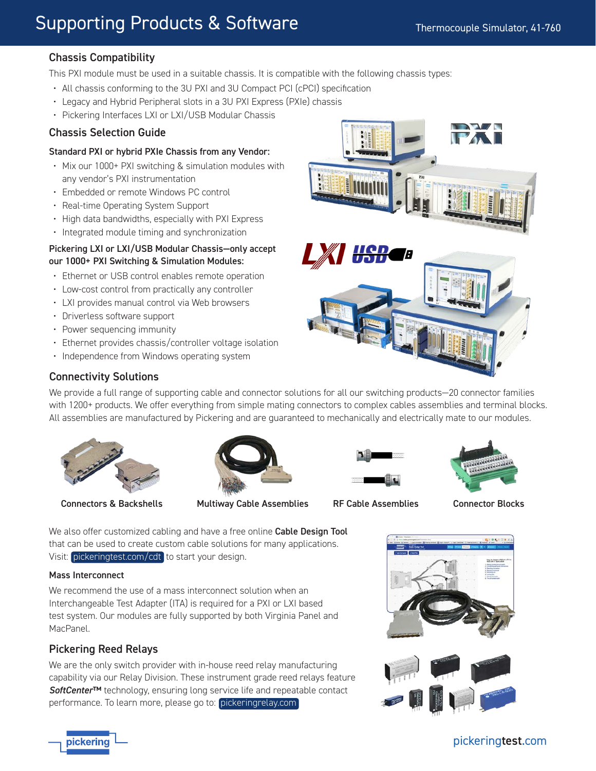# Chassis Compatibility

This PXI module must be used in a suitable chassis. It is compatible with the following chassis types:

- All chassis conforming to the 3U PXI and 3U Compact PCI (cPCI) specification
- Legacy and Hybrid Peripheral slots in a 3U PXI Express (PXIe) chassis
- Pickering Interfaces LXI or LXI/USB Modular Chassis

## Chassis Selection Guide

#### Standard PXI or hybrid PXIe Chassis from any Vendor:

- Mix our 1000+ PXI switching & simulation modules with any vendor's PXI instrumentation
- Embedded or remote Windows PC control
- Real-time Operating System Support
- High data bandwidths, especially with PXI Express
- Integrated module timing and synchronization

#### Pickering LXI or LXI/USB Modular Chassis—only accept our 1000+ PXI Switching & Simulation Modules:

- Ethernet or USB control enables remote operation
- Low-cost control from practically any controller
- LXI provides manual control via Web browsers
- Driverless software support
- Power sequencing immunity
- Ethernet provides chassis/controller voltage isolation
- Independence from Windows operating system



## Connectivity Solutions

We provide a full range of supporting cable and connector solutions for all our switching products—20 connector families with 1200+ products. We offer everything from simple mating connectors to complex cables assemblies and terminal blocks. All assemblies are manufactured by Pickering and are guaranteed to mechanically and electrically mate to our modules.



Connectors & Backshells Multiway Cable Assemblies RF Cable Assemblies Connector Blocks







We also offer customized cabling and have a free online Cable Design Tool that can be used to create custom cable solutions for many applications. Visit: [pickeringtest.com/cdt](http://www.pickeringtest.com/cdt) to start your design.

#### Mass Interconnect

We recommend the use of a mass interconnect solution when an Interchangeable Test Adapter (ITA) is required for a PXI or LXI based test system. Our modules are fully supported by both Virginia Panel and MacPanel.

# Pickering Reed Relays

We are the only switch provider with in-house reed relay manufacturing capability via our Relay Division. These instrument grade reed relays feature *SoftCenter*™ technology, ensuring long service life and repeatable contact performance. To learn more, please go to: [pickeringrelay.com](http://www.pickeringrelay.com)